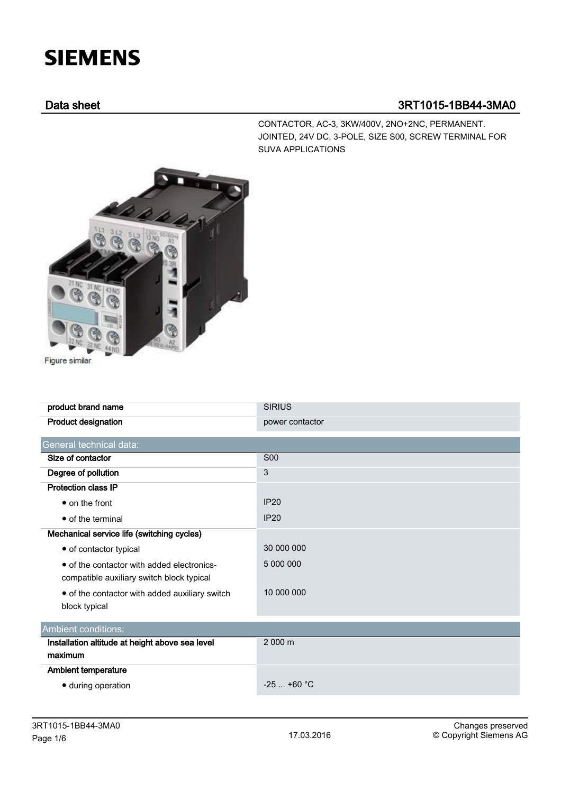## **SIEMENS**

## Data sheet 3RT1015-1BB44-3MA0

CONTACTOR, AC-3, 3KW/400V, 2NO+2NC, PERMANENT. JOINTED, 24V DC, 3-POLE, SIZE S00, SCREW TERMINAL FOR SUVA APPLICATIONS



Figure similar

| product brand name                              | <b>SIRIUS</b>   |
|-------------------------------------------------|-----------------|
| <b>Product designation</b>                      | power contactor |
| General technical data:                         |                 |
| Size of contactor                               | <b>S00</b>      |
| Degree of pollution                             | 3               |
| <b>Protection class IP</b>                      |                 |
| • on the front                                  | IP20            |
| • of the terminal                               | IP20            |
| Mechanical service life (switching cycles)      |                 |
| • of contactor typical                          | 30 000 000      |
| • of the contactor with added electronics-      | 5 000 000       |
| compatible auxiliary switch block typical       |                 |
| • of the contactor with added auxiliary switch  | 10 000 000      |
| block typical                                   |                 |
| Ambient conditions:                             |                 |
| Installation altitude at height above sea level | 2 000 m         |
| maximum                                         |                 |
| <b>Ambient temperature</b>                      |                 |
| · during operation                              | $-25$ +60 °C    |
|                                                 |                 |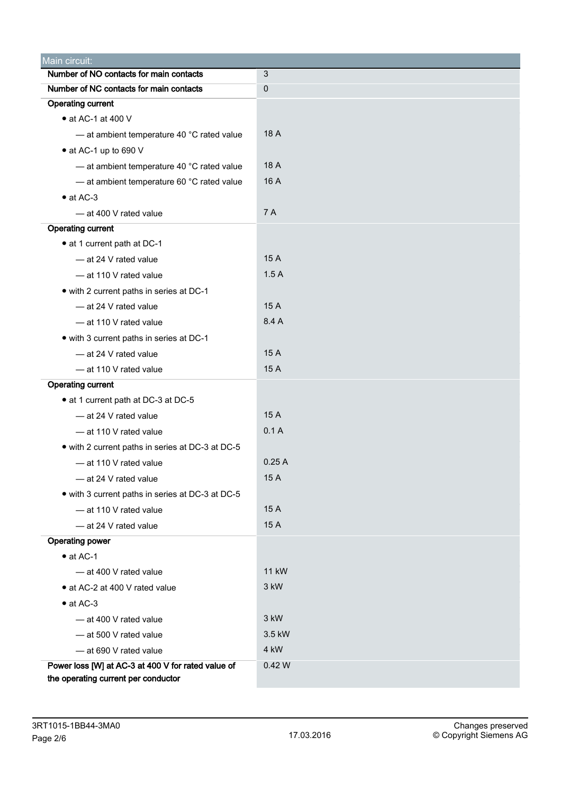| Main circuit:                                      |              |  |  |  |  |
|----------------------------------------------------|--------------|--|--|--|--|
| Number of NO contacts for main contacts            | 3            |  |  |  |  |
| Number of NC contacts for main contacts            | $\mathbf 0$  |  |  |  |  |
| <b>Operating current</b>                           |              |  |  |  |  |
| • at AC-1 at 400 V                                 |              |  |  |  |  |
| - at ambient temperature 40 °C rated value         | 18 A         |  |  |  |  |
| • at AC-1 up to 690 V                              |              |  |  |  |  |
| - at ambient temperature 40 °C rated value         | 18 A         |  |  |  |  |
| - at ambient temperature 60 °C rated value         | 16 A         |  |  |  |  |
| $\bullet$ at AC-3                                  |              |  |  |  |  |
| - at 400 V rated value                             | 7 A          |  |  |  |  |
| <b>Operating current</b>                           |              |  |  |  |  |
| • at 1 current path at DC-1                        |              |  |  |  |  |
| - at 24 V rated value                              | 15 A         |  |  |  |  |
| - at 110 V rated value                             | 1.5A         |  |  |  |  |
| • with 2 current paths in series at DC-1           |              |  |  |  |  |
| - at 24 V rated value                              | 15 A         |  |  |  |  |
| - at 110 V rated value                             | 8.4 A        |  |  |  |  |
| • with 3 current paths in series at DC-1           |              |  |  |  |  |
| - at 24 V rated value                              | 15 A         |  |  |  |  |
| - at 110 V rated value                             | 15 A         |  |  |  |  |
| <b>Operating current</b>                           |              |  |  |  |  |
| • at 1 current path at DC-3 at DC-5                |              |  |  |  |  |
| - at 24 V rated value                              | 15 A         |  |  |  |  |
| - at 110 V rated value                             | 0.1A         |  |  |  |  |
| • with 2 current paths in series at DC-3 at DC-5   |              |  |  |  |  |
| - at 110 V rated value                             | 0.25A        |  |  |  |  |
| - at 24 V rated value                              | 15 A         |  |  |  |  |
| • with 3 current paths in series at DC-3 at DC-5   |              |  |  |  |  |
| - at 110 V rated value                             | 15 A         |  |  |  |  |
| - at 24 V rated value                              | 15 A         |  |  |  |  |
| <b>Operating power</b>                             |              |  |  |  |  |
| $\bullet$ at AC-1                                  |              |  |  |  |  |
| - at 400 V rated value                             | <b>11 kW</b> |  |  |  |  |
| • at AC-2 at 400 V rated value                     | 3 kW         |  |  |  |  |
| $\bullet$ at AC-3                                  |              |  |  |  |  |
| - at 400 V rated value                             | 3 kW         |  |  |  |  |
| - at 500 V rated value                             | 3.5 kW       |  |  |  |  |
| - at 690 V rated value                             | 4 kW         |  |  |  |  |
| Power loss [W] at AC-3 at 400 V for rated value of | 0.42W        |  |  |  |  |
| the operating current per conductor                |              |  |  |  |  |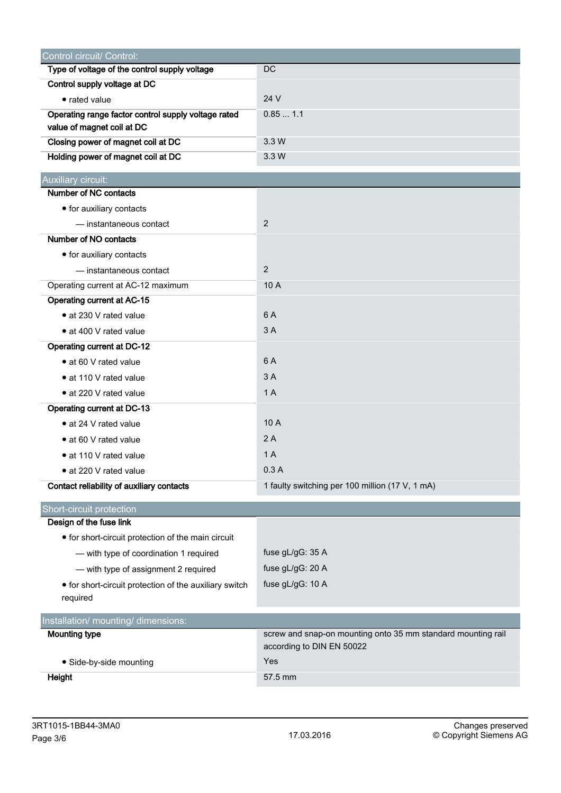| Control circuit/ Control:                                          |                                                              |  |  |
|--------------------------------------------------------------------|--------------------------------------------------------------|--|--|
| Type of voltage of the control supply voltage                      | <b>DC</b>                                                    |  |  |
| Control supply voltage at DC                                       |                                                              |  |  |
| • rated value                                                      | 24 V                                                         |  |  |
| Operating range factor control supply voltage rated                | 0.851.1                                                      |  |  |
| value of magnet coil at DC                                         |                                                              |  |  |
| Closing power of magnet coil at DC                                 | 3.3 W                                                        |  |  |
| Holding power of magnet coil at DC                                 | 3.3 W                                                        |  |  |
| Auxiliary circuit:                                                 |                                                              |  |  |
| Number of NC contacts                                              |                                                              |  |  |
| • for auxiliary contacts                                           |                                                              |  |  |
| - instantaneous contact                                            | $\overline{2}$                                               |  |  |
| Number of NO contacts                                              |                                                              |  |  |
| • for auxiliary contacts                                           |                                                              |  |  |
| — instantaneous contact                                            | 2                                                            |  |  |
| Operating current at AC-12 maximum                                 | 10 A                                                         |  |  |
| <b>Operating current at AC-15</b>                                  |                                                              |  |  |
| • at 230 V rated value                                             | 6 A                                                          |  |  |
| • at 400 V rated value                                             | 3A                                                           |  |  |
| <b>Operating current at DC-12</b>                                  |                                                              |  |  |
| • at 60 V rated value                                              | 6 A                                                          |  |  |
| • at 110 V rated value                                             | 3A                                                           |  |  |
| • at 220 V rated value                                             | 1A                                                           |  |  |
| Operating current at DC-13                                         |                                                              |  |  |
| • at 24 V rated value                                              | 10 A                                                         |  |  |
| • at 60 V rated value                                              | 2A                                                           |  |  |
| • at 110 V rated value                                             | 1A                                                           |  |  |
| · at 220 V rated value                                             | 0.3A                                                         |  |  |
| Contact reliability of auxiliary contacts                          | 1 faulty switching per 100 million (17 V, 1 mA)              |  |  |
|                                                                    |                                                              |  |  |
| Short-circuit protection<br>Design of the fuse link                |                                                              |  |  |
| • for short-circuit protection of the main circuit                 |                                                              |  |  |
| - with type of coordination 1 required                             | fuse gL/gG: 35 A                                             |  |  |
|                                                                    | fuse gL/gG: 20 A                                             |  |  |
| - with type of assignment 2 required                               | fuse gL/gG: 10 A                                             |  |  |
| • for short-circuit protection of the auxiliary switch<br>required |                                                              |  |  |
| Installation/ mounting/ dimensions:                                |                                                              |  |  |
| <b>Mounting type</b>                                               | screw and snap-on mounting onto 35 mm standard mounting rail |  |  |
|                                                                    | according to DIN EN 50022                                    |  |  |
| · Side-by-side mounting                                            | Yes                                                          |  |  |
| Height                                                             | 57.5 mm                                                      |  |  |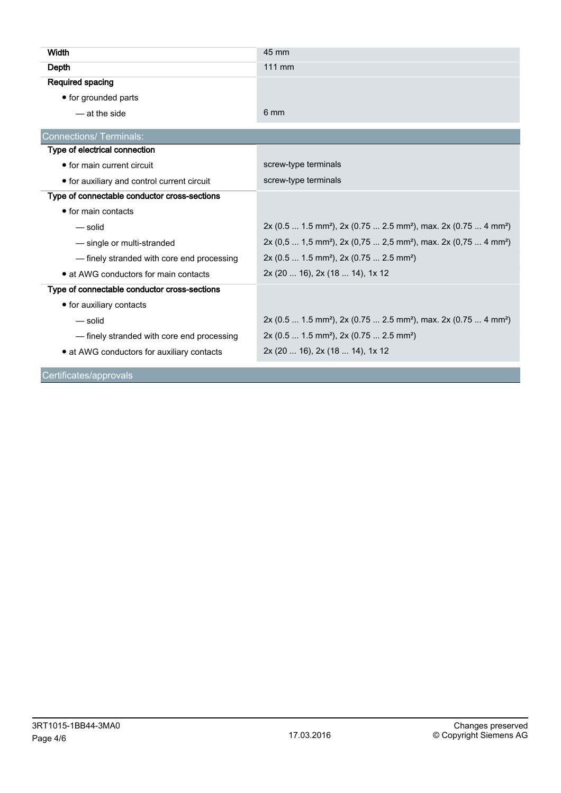| Width                                        | 45 mm                                                                                               |  |  |  |
|----------------------------------------------|-----------------------------------------------------------------------------------------------------|--|--|--|
| Depth                                        | 111 mm                                                                                              |  |  |  |
| Required spacing                             |                                                                                                     |  |  |  |
| • for grounded parts                         |                                                                                                     |  |  |  |
| — at the side                                | 6 mm                                                                                                |  |  |  |
| <b>Connections/Terminals:</b>                |                                                                                                     |  |  |  |
| Type of electrical connection                |                                                                                                     |  |  |  |
| • for main current circuit                   | screw-type terminals                                                                                |  |  |  |
| • for auxiliary and control current circuit  | screw-type terminals                                                                                |  |  |  |
| Type of connectable conductor cross-sections |                                                                                                     |  |  |  |
| $\bullet$ for main contacts                  |                                                                                                     |  |  |  |
| — solid                                      | 2x (0.5  1.5 mm <sup>2</sup> ), 2x (0.75  2.5 mm <sup>2</sup> ), max. 2x (0.75  4 mm <sup>2</sup> ) |  |  |  |
| - single or multi-stranded                   | $2x (0,5  1,5 mm^2)$ , $2x (0,75  2,5 mm^2)$ , max. $2x (0,75  4 mm^2)$                             |  |  |  |
| - finely stranded with core end processing   | $2x (0.5  1.5 mm2)$ , $2x (0.75  2.5 mm2)$                                                          |  |  |  |
| • at AWG conductors for main contacts        | 2x (20  16), 2x (18  14), 1x 12                                                                     |  |  |  |
| Type of connectable conductor cross-sections |                                                                                                     |  |  |  |
| • for auxiliary contacts                     |                                                                                                     |  |  |  |
| — solid                                      | 2x (0.5  1.5 mm <sup>2</sup> ), 2x (0.75  2.5 mm <sup>2</sup> ), max. 2x (0.75  4 mm <sup>2</sup> ) |  |  |  |
| - finely stranded with core end processing   | $2x (0.5  1.5 mm2)$ , $2x (0.75  2.5 mm2)$                                                          |  |  |  |
| • at AWG conductors for auxiliary contacts   | 2x (20  16), 2x (18  14), 1x 12                                                                     |  |  |  |
| Certificates/approvals                       |                                                                                                     |  |  |  |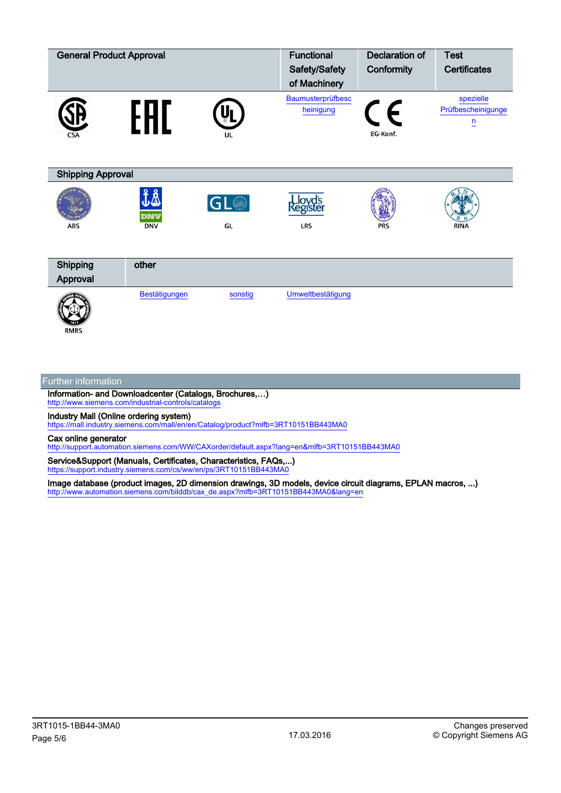| <b>General Product Approval</b> |                   |                 | <b>Functional</b>          | <b>Declaration of</b> | <b>Test</b>                        |  |  |
|---------------------------------|-------------------|-----------------|----------------------------|-----------------------|------------------------------------|--|--|
|                                 |                   |                 | Safety/Safety              | Conformity            | <b>Certificates</b>                |  |  |
|                                 |                   |                 | of Machinery               |                       |                                    |  |  |
|                                 |                   |                 | Baumusterprüfbesc          |                       | spezielle                          |  |  |
|                                 | Н<br>Ы            |                 | heinigung                  | E                     | Prüfbescheinigunge<br>$\mathsf{n}$ |  |  |
| <b>CSA</b>                      |                   | UL              |                            | EG-Konf.              |                                    |  |  |
|                                 |                   |                 |                            |                       |                                    |  |  |
|                                 |                   |                 |                            |                       |                                    |  |  |
| <b>Shipping Approval</b>        |                   |                 |                            |                       |                                    |  |  |
|                                 | 子                 |                 |                            |                       |                                    |  |  |
|                                 |                   | GL <sup>O</sup> | <b>Lloyd's</b><br>Register |                       |                                    |  |  |
| <b>ABS</b>                      | DNV<br><b>DNV</b> | GL              | LRS                        | <b>PRS</b>            | <b>RINA</b>                        |  |  |
|                                 |                   |                 |                            |                       |                                    |  |  |
|                                 |                   |                 |                            |                       |                                    |  |  |
| Shipping                        | other             |                 |                            |                       |                                    |  |  |
| Approval                        |                   |                 |                            |                       |                                    |  |  |
|                                 | Bestätigungen     | sonstig         | Umweltbestätigung          |                       |                                    |  |  |
|                                 |                   |                 |                            |                       |                                    |  |  |
| <b>RMRS</b>                     |                   |                 |                            |                       |                                    |  |  |

## Further information

Information- and Downloadcenter (Catalogs, Brochures,…) <http://www.siemens.com/industrial-controls/catalogs>

Industry Mall (Online ordering system)

<https://mall.industry.siemens.com/mall/en/en/Catalog/product?mlfb=3RT10151BB443MA0>

Cax online generator

<http://support.automation.siemens.com/WW/CAXorder/default.aspx?lang=en&mlfb=3RT10151BB443MA0>

Service&Support (Manuals, Certificates, Characteristics, FAQs,...) <https://support.industry.siemens.com/cs/ww/en/ps/3RT10151BB443MA0>

Image database (product images, 2D dimension drawings, 3D models, device circuit diagrams, EPLAN macros, ...) [http://www.automation.siemens.com/bilddb/cax\\_de.aspx?mlfb=3RT10151BB443MA0&lang=en](http://www.automation.siemens.com/bilddb/cax_de.aspx?mlfb=3RT10151BB443MA0&lang=en)